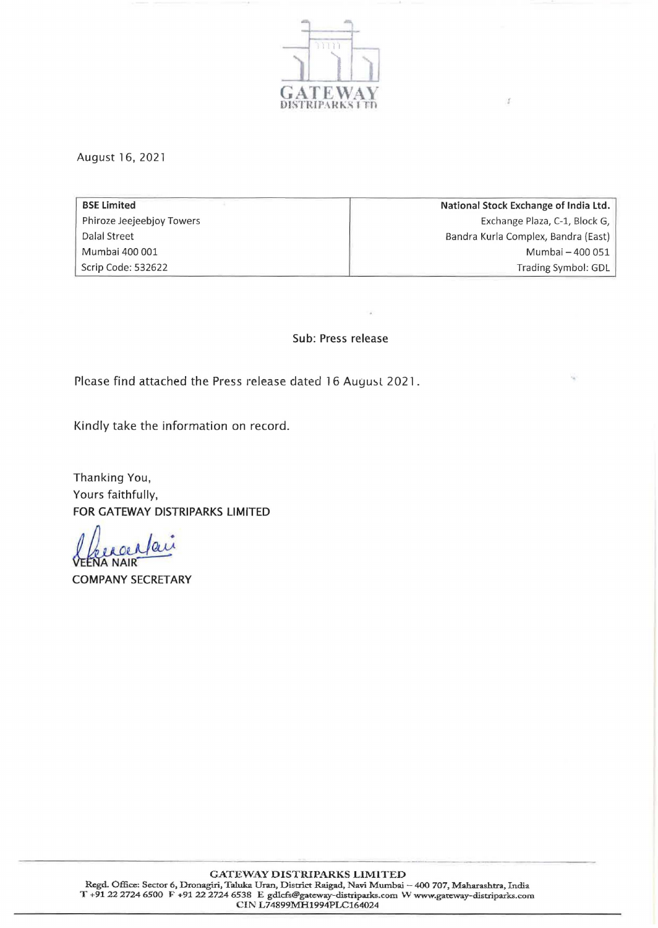

Ù.

August 16, 2021

**BSE Limited** Phiroze Jeejeebjoy Towers Dalal Street Mumbai 400 001 Scrip Code: 532622 National Stock Exchange of India Ltd. Exchange Plaza, C-1, Block G, Sandra Kurla Complex, Sandra (East) Mumbai - 400 051 Trading Symbol: GDL

## Sub: Press release

Please find attached the Press release dated 16 August 2021.

Kindly take the information on record.

Thanking You, Yours faithfully, FOR GATEWAY DISTRIPARKS LIMITED

 $a$ u **A NAIR** 

COMPANY SECRETARY